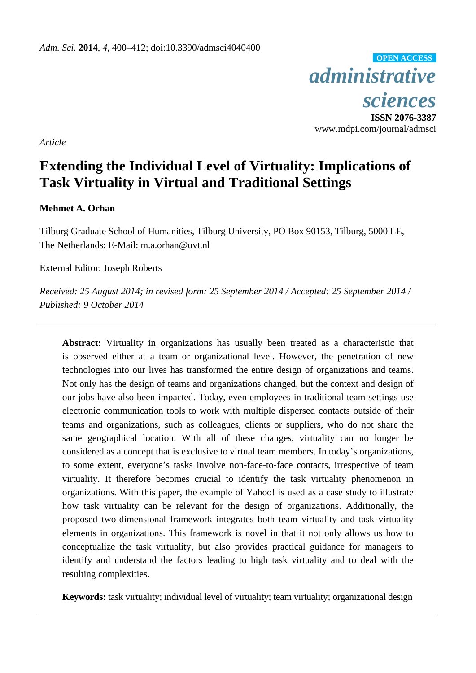*administrative sciences* **OPEN ACCESS**

**ISSN 2076-3387**  www.mdpi.com/journal/admsci

*Article* 

# **Extending the Individual Level of Virtuality: Implications of Task Virtuality in Virtual and Traditional Settings**

# **Mehmet A. Orhan**

Tilburg Graduate School of Humanities, Tilburg University, PO Box 90153, Tilburg, 5000 LE, The Netherlands; E-Mail: m.a.orhan@uvt.nl

External Editor: Joseph Roberts

*Received: 25 August 2014; in revised form: 25 September 2014 / Accepted: 25 September 2014 / Published: 9 October 2014* 

**Abstract:** Virtuality in organizations has usually been treated as a characteristic that is observed either at a team or organizational level. However, the penetration of new technologies into our lives has transformed the entire design of organizations and teams. Not only has the design of teams and organizations changed, but the context and design of our jobs have also been impacted. Today, even employees in traditional team settings use electronic communication tools to work with multiple dispersed contacts outside of their teams and organizations, such as colleagues, clients or suppliers, who do not share the same geographical location. With all of these changes, virtuality can no longer be considered as a concept that is exclusive to virtual team members. In today's organizations, to some extent, everyone's tasks involve non-face-to-face contacts, irrespective of team virtuality. It therefore becomes crucial to identify the task virtuality phenomenon in organizations. With this paper, the example of Yahoo! is used as a case study to illustrate how task virtuality can be relevant for the design of organizations. Additionally, the proposed two-dimensional framework integrates both team virtuality and task virtuality elements in organizations. This framework is novel in that it not only allows us how to conceptualize the task virtuality, but also provides practical guidance for managers to identify and understand the factors leading to high task virtuality and to deal with the resulting complexities.

**Keywords:** task virtuality; individual level of virtuality; team virtuality; organizational design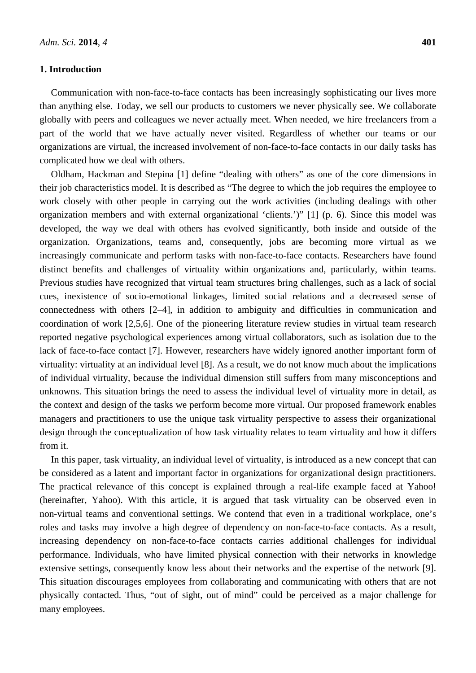## **1. Introduction**

Communication with non-face-to-face contacts has been increasingly sophisticating our lives more than anything else. Today, we sell our products to customers we never physically see. We collaborate globally with peers and colleagues we never actually meet. When needed, we hire freelancers from a part of the world that we have actually never visited. Regardless of whether our teams or our organizations are virtual, the increased involvement of non-face-to-face contacts in our daily tasks has complicated how we deal with others.

Oldham, Hackman and Stepina [1] define "dealing with others" as one of the core dimensions in their job characteristics model. It is described as "The degree to which the job requires the employee to work closely with other people in carrying out the work activities (including dealings with other organization members and with external organizational 'clients.')" [1] (p. 6). Since this model was developed, the way we deal with others has evolved significantly, both inside and outside of the organization. Organizations, teams and, consequently, jobs are becoming more virtual as we increasingly communicate and perform tasks with non-face-to-face contacts. Researchers have found distinct benefits and challenges of virtuality within organizations and, particularly, within teams. Previous studies have recognized that virtual team structures bring challenges, such as a lack of social cues, inexistence of socio-emotional linkages, limited social relations and a decreased sense of connectedness with others [2–4], in addition to ambiguity and difficulties in communication and coordination of work [2,5,6]. One of the pioneering literature review studies in virtual team research reported negative psychological experiences among virtual collaborators, such as isolation due to the lack of face-to-face contact [7]. However, researchers have widely ignored another important form of virtuality: virtuality at an individual level [8]. As a result, we do not know much about the implications of individual virtuality, because the individual dimension still suffers from many misconceptions and unknowns. This situation brings the need to assess the individual level of virtuality more in detail, as the context and design of the tasks we perform become more virtual. Our proposed framework enables managers and practitioners to use the unique task virtuality perspective to assess their organizational design through the conceptualization of how task virtuality relates to team virtuality and how it differs from it.

In this paper, task virtuality, an individual level of virtuality, is introduced as a new concept that can be considered as a latent and important factor in organizations for organizational design practitioners. The practical relevance of this concept is explained through a real-life example faced at Yahoo! (hereinafter, Yahoo). With this article, it is argued that task virtuality can be observed even in non-virtual teams and conventional settings. We contend that even in a traditional workplace, one's roles and tasks may involve a high degree of dependency on non-face-to-face contacts. As a result, increasing dependency on non-face-to-face contacts carries additional challenges for individual performance. Individuals, who have limited physical connection with their networks in knowledge extensive settings, consequently know less about their networks and the expertise of the network [9]. This situation discourages employees from collaborating and communicating with others that are not physically contacted. Thus, "out of sight, out of mind" could be perceived as a major challenge for many employees.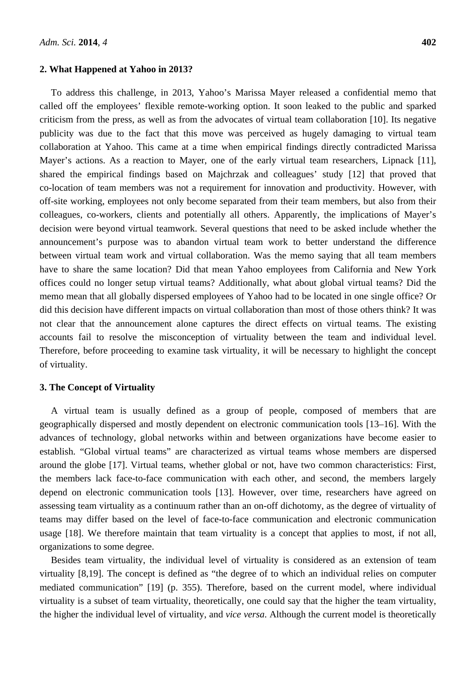#### **2. What Happened at Yahoo in 2013?**

To address this challenge, in 2013, Yahoo's Marissa Mayer released a confidential memo that called off the employees' flexible remote-working option. It soon leaked to the public and sparked criticism from the press, as well as from the advocates of virtual team collaboration [10]. Its negative publicity was due to the fact that this move was perceived as hugely damaging to virtual team collaboration at Yahoo. This came at a time when empirical findings directly contradicted Marissa Mayer's actions. As a reaction to Mayer, one of the early virtual team researchers, Lipnack [11], shared the empirical findings based on Majchrzak and colleagues' study [12] that proved that co-location of team members was not a requirement for innovation and productivity. However, with off-site working, employees not only become separated from their team members, but also from their colleagues, co-workers, clients and potentially all others. Apparently, the implications of Mayer's decision were beyond virtual teamwork. Several questions that need to be asked include whether the announcement's purpose was to abandon virtual team work to better understand the difference between virtual team work and virtual collaboration. Was the memo saying that all team members have to share the same location? Did that mean Yahoo employees from California and New York offices could no longer setup virtual teams? Additionally, what about global virtual teams? Did the memo mean that all globally dispersed employees of Yahoo had to be located in one single office? Or did this decision have different impacts on virtual collaboration than most of those others think? It was not clear that the announcement alone captures the direct effects on virtual teams. The existing accounts fail to resolve the misconception of virtuality between the team and individual level. Therefore, before proceeding to examine task virtuality, it will be necessary to highlight the concept of virtuality.

#### **3. The Concept of Virtuality**

A virtual team is usually defined as a group of people, composed of members that are geographically dispersed and mostly dependent on electronic communication tools [13–16]. With the advances of technology, global networks within and between organizations have become easier to establish. "Global virtual teams" are characterized as virtual teams whose members are dispersed around the globe [17]. Virtual teams, whether global or not, have two common characteristics: First, the members lack face-to-face communication with each other, and second, the members largely depend on electronic communication tools [13]. However, over time, researchers have agreed on assessing team virtuality as a continuum rather than an on-off dichotomy, as the degree of virtuality of teams may differ based on the level of face-to-face communication and electronic communication usage [18]. We therefore maintain that team virtuality is a concept that applies to most, if not all, organizations to some degree.

Besides team virtuality, the individual level of virtuality is considered as an extension of team virtuality [8,19]. The concept is defined as "the degree of to which an individual relies on computer mediated communication" [19] (p. 355). Therefore, based on the current model, where individual virtuality is a subset of team virtuality, theoretically, one could say that the higher the team virtuality, the higher the individual level of virtuality, and *vice versa*. Although the current model is theoretically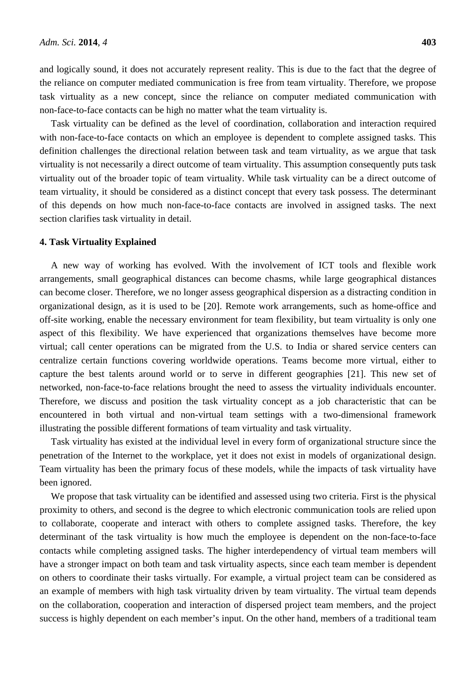and logically sound, it does not accurately represent reality. This is due to the fact that the degree of the reliance on computer mediated communication is free from team virtuality. Therefore, we propose task virtuality as a new concept, since the reliance on computer mediated communication with non-face-to-face contacts can be high no matter what the team virtuality is.

Task virtuality can be defined as the level of coordination, collaboration and interaction required with non-face-to-face contacts on which an employee is dependent to complete assigned tasks. This definition challenges the directional relation between task and team virtuality, as we argue that task virtuality is not necessarily a direct outcome of team virtuality. This assumption consequently puts task virtuality out of the broader topic of team virtuality. While task virtuality can be a direct outcome of team virtuality, it should be considered as a distinct concept that every task possess. The determinant of this depends on how much non-face-to-face contacts are involved in assigned tasks. The next section clarifies task virtuality in detail.

#### **4. Task Virtuality Explained**

A new way of working has evolved. With the involvement of ICT tools and flexible work arrangements, small geographical distances can become chasms, while large geographical distances can become closer. Therefore, we no longer assess geographical dispersion as a distracting condition in organizational design, as it is used to be [20]. Remote work arrangements, such as home-office and off-site working, enable the necessary environment for team flexibility, but team virtuality is only one aspect of this flexibility. We have experienced that organizations themselves have become more virtual; call center operations can be migrated from the U.S. to India or shared service centers can centralize certain functions covering worldwide operations. Teams become more virtual, either to capture the best talents around world or to serve in different geographies [21]. This new set of networked, non-face-to-face relations brought the need to assess the virtuality individuals encounter. Therefore, we discuss and position the task virtuality concept as a job characteristic that can be encountered in both virtual and non-virtual team settings with a two-dimensional framework illustrating the possible different formations of team virtuality and task virtuality.

Task virtuality has existed at the individual level in every form of organizational structure since the penetration of the Internet to the workplace, yet it does not exist in models of organizational design. Team virtuality has been the primary focus of these models, while the impacts of task virtuality have been ignored.

We propose that task virtuality can be identified and assessed using two criteria. First is the physical proximity to others, and second is the degree to which electronic communication tools are relied upon to collaborate, cooperate and interact with others to complete assigned tasks. Therefore, the key determinant of the task virtuality is how much the employee is dependent on the non-face-to-face contacts while completing assigned tasks. The higher interdependency of virtual team members will have a stronger impact on both team and task virtuality aspects, since each team member is dependent on others to coordinate their tasks virtually. For example, a virtual project team can be considered as an example of members with high task virtuality driven by team virtuality. The virtual team depends on the collaboration, cooperation and interaction of dispersed project team members, and the project success is highly dependent on each member's input. On the other hand, members of a traditional team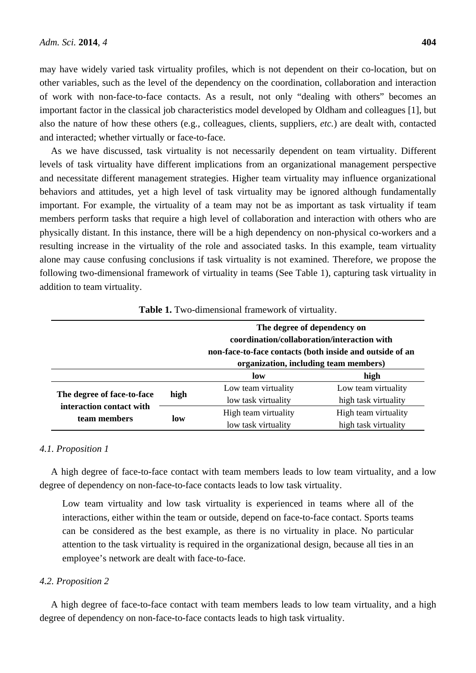may have widely varied task virtuality profiles, which is not dependent on their co-location, but on other variables, such as the level of the dependency on the coordination, collaboration and interaction of work with non-face-to-face contacts. As a result, not only "dealing with others" becomes an important factor in the classical job characteristics model developed by Oldham and colleagues [1], but also the nature of how these others (e.g., colleagues, clients, suppliers, *etc.*) are dealt with, contacted and interacted; whether virtually or face-to-face.

As we have discussed, task virtuality is not necessarily dependent on team virtuality. Different levels of task virtuality have different implications from an organizational management perspective and necessitate different management strategies. Higher team virtuality may influence organizational behaviors and attitudes, yet a high level of task virtuality may be ignored although fundamentally important. For example, the virtuality of a team may not be as important as task virtuality if team members perform tasks that require a high level of collaboration and interaction with others who are physically distant. In this instance, there will be a high dependency on non-physical co-workers and a resulting increase in the virtuality of the role and associated tasks. In this example, team virtuality alone may cause confusing conclusions if task virtuality is not examined. Therefore, we propose the following two-dimensional framework of virtuality in teams (See Table 1), capturing task virtuality in addition to team virtuality.

|                                                                        |      | The degree of dependency on<br>coordination/collaboration/interaction with<br>non-face-to-face contacts (both inside and outside of an<br>organization, including team members) |                      |
|------------------------------------------------------------------------|------|---------------------------------------------------------------------------------------------------------------------------------------------------------------------------------|----------------------|
|                                                                        |      | low                                                                                                                                                                             | high                 |
| The degree of face-to-face<br>interaction contact with<br>team members | high | Low team virtuality                                                                                                                                                             | Low team virtuality  |
|                                                                        |      | low task virtuality                                                                                                                                                             | high task virtuality |
|                                                                        | low  | High team virtuality                                                                                                                                                            | High team virtuality |
|                                                                        |      | low task virtuality                                                                                                                                                             | high task virtuality |

**Table 1.** Two-dimensional framework of virtuality.

#### *4.1. Proposition 1*

A high degree of face-to-face contact with team members leads to low team virtuality, and a low degree of dependency on non-face-to-face contacts leads to low task virtuality.

Low team virtuality and low task virtuality is experienced in teams where all of the interactions, either within the team or outside, depend on face-to-face contact. Sports teams can be considered as the best example, as there is no virtuality in place. No particular attention to the task virtuality is required in the organizational design, because all ties in an employee's network are dealt with face-to-face.

## *4.2. Proposition 2*

A high degree of face-to-face contact with team members leads to low team virtuality, and a high degree of dependency on non-face-to-face contacts leads to high task virtuality.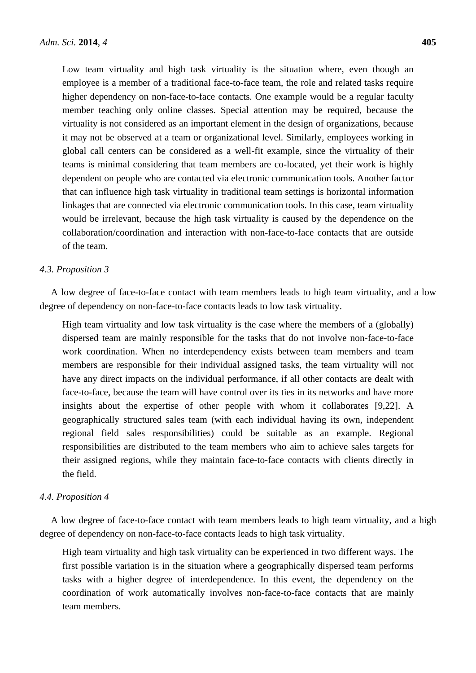Low team virtuality and high task virtuality is the situation where, even though an employee is a member of a traditional face-to-face team, the role and related tasks require higher dependency on non-face-to-face contacts. One example would be a regular faculty member teaching only online classes. Special attention may be required, because the virtuality is not considered as an important element in the design of organizations, because it may not be observed at a team or organizational level. Similarly, employees working in global call centers can be considered as a well-fit example, since the virtuality of their teams is minimal considering that team members are co-located, yet their work is highly dependent on people who are contacted via electronic communication tools. Another factor that can influence high task virtuality in traditional team settings is horizontal information linkages that are connected via electronic communication tools. In this case, team virtuality would be irrelevant, because the high task virtuality is caused by the dependence on the collaboration/coordination and interaction with non-face-to-face contacts that are outside of the team.

#### *4.3. Proposition 3*

A low degree of face-to-face contact with team members leads to high team virtuality, and a low degree of dependency on non-face-to-face contacts leads to low task virtuality.

High team virtuality and low task virtuality is the case where the members of a (globally) dispersed team are mainly responsible for the tasks that do not involve non-face-to-face work coordination. When no interdependency exists between team members and team members are responsible for their individual assigned tasks, the team virtuality will not have any direct impacts on the individual performance, if all other contacts are dealt with face-to-face, because the team will have control over its ties in its networks and have more insights about the expertise of other people with whom it collaborates [9,22]. A geographically structured sales team (with each individual having its own, independent regional field sales responsibilities) could be suitable as an example. Regional responsibilities are distributed to the team members who aim to achieve sales targets for their assigned regions, while they maintain face-to-face contacts with clients directly in the field.

#### *4.4. Proposition 4*

A low degree of face-to-face contact with team members leads to high team virtuality, and a high degree of dependency on non-face-to-face contacts leads to high task virtuality.

High team virtuality and high task virtuality can be experienced in two different ways. The first possible variation is in the situation where a geographically dispersed team performs tasks with a higher degree of interdependence. In this event, the dependency on the coordination of work automatically involves non-face-to-face contacts that are mainly team members.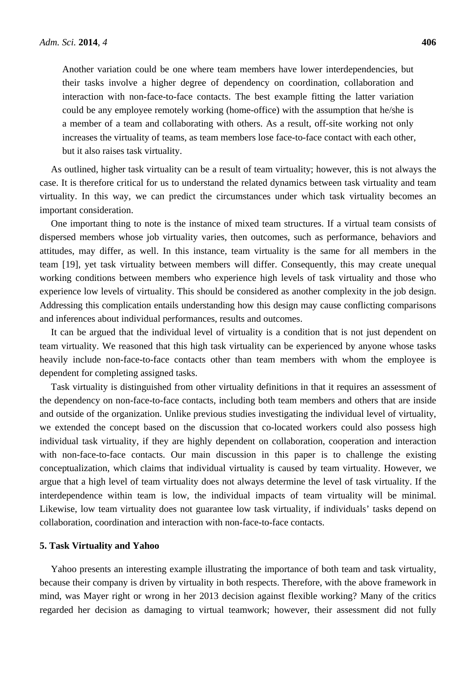Another variation could be one where team members have lower interdependencies, but their tasks involve a higher degree of dependency on coordination, collaboration and interaction with non-face-to-face contacts. The best example fitting the latter variation could be any employee remotely working (home-office) with the assumption that he/she is a member of a team and collaborating with others. As a result, off-site working not only increases the virtuality of teams, as team members lose face-to-face contact with each other, but it also raises task virtuality.

As outlined, higher task virtuality can be a result of team virtuality; however, this is not always the case. It is therefore critical for us to understand the related dynamics between task virtuality and team virtuality. In this way, we can predict the circumstances under which task virtuality becomes an important consideration.

One important thing to note is the instance of mixed team structures. If a virtual team consists of dispersed members whose job virtuality varies, then outcomes, such as performance, behaviors and attitudes, may differ, as well. In this instance, team virtuality is the same for all members in the team [19], yet task virtuality between members will differ. Consequently, this may create unequal working conditions between members who experience high levels of task virtuality and those who experience low levels of virtuality. This should be considered as another complexity in the job design. Addressing this complication entails understanding how this design may cause conflicting comparisons and inferences about individual performances, results and outcomes.

It can be argued that the individual level of virtuality is a condition that is not just dependent on team virtuality. We reasoned that this high task virtuality can be experienced by anyone whose tasks heavily include non-face-to-face contacts other than team members with whom the employee is dependent for completing assigned tasks.

Task virtuality is distinguished from other virtuality definitions in that it requires an assessment of the dependency on non-face-to-face contacts, including both team members and others that are inside and outside of the organization. Unlike previous studies investigating the individual level of virtuality, we extended the concept based on the discussion that co-located workers could also possess high individual task virtuality, if they are highly dependent on collaboration, cooperation and interaction with non-face-to-face contacts. Our main discussion in this paper is to challenge the existing conceptualization, which claims that individual virtuality is caused by team virtuality. However, we argue that a high level of team virtuality does not always determine the level of task virtuality. If the interdependence within team is low, the individual impacts of team virtuality will be minimal. Likewise, low team virtuality does not guarantee low task virtuality, if individuals' tasks depend on collaboration, coordination and interaction with non-face-to-face contacts.

#### **5. Task Virtuality and Yahoo**

Yahoo presents an interesting example illustrating the importance of both team and task virtuality, because their company is driven by virtuality in both respects. Therefore, with the above framework in mind, was Mayer right or wrong in her 2013 decision against flexible working? Many of the critics regarded her decision as damaging to virtual teamwork; however, their assessment did not fully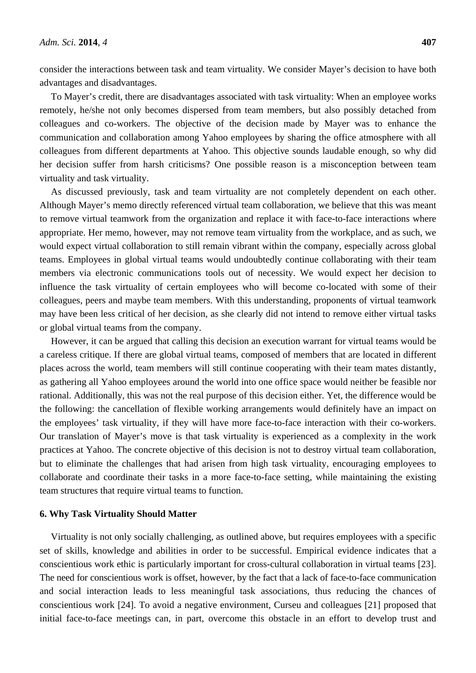consider the interactions between task and team virtuality. We consider Mayer's decision to have both advantages and disadvantages.

To Mayer's credit, there are disadvantages associated with task virtuality: When an employee works remotely, he/she not only becomes dispersed from team members, but also possibly detached from colleagues and co-workers. The objective of the decision made by Mayer was to enhance the communication and collaboration among Yahoo employees by sharing the office atmosphere with all colleagues from different departments at Yahoo. This objective sounds laudable enough, so why did her decision suffer from harsh criticisms? One possible reason is a misconception between team virtuality and task virtuality.

As discussed previously, task and team virtuality are not completely dependent on each other. Although Mayer's memo directly referenced virtual team collaboration, we believe that this was meant to remove virtual teamwork from the organization and replace it with face-to-face interactions where appropriate. Her memo, however, may not remove team virtuality from the workplace, and as such, we would expect virtual collaboration to still remain vibrant within the company, especially across global teams. Employees in global virtual teams would undoubtedly continue collaborating with their team members via electronic communications tools out of necessity. We would expect her decision to influence the task virtuality of certain employees who will become co-located with some of their colleagues, peers and maybe team members. With this understanding, proponents of virtual teamwork may have been less critical of her decision, as she clearly did not intend to remove either virtual tasks or global virtual teams from the company.

However, it can be argued that calling this decision an execution warrant for virtual teams would be a careless critique. If there are global virtual teams, composed of members that are located in different places across the world, team members will still continue cooperating with their team mates distantly, as gathering all Yahoo employees around the world into one office space would neither be feasible nor rational. Additionally, this was not the real purpose of this decision either. Yet, the difference would be the following: the cancellation of flexible working arrangements would definitely have an impact on the employees' task virtuality, if they will have more face-to-face interaction with their co-workers. Our translation of Mayer's move is that task virtuality is experienced as a complexity in the work practices at Yahoo. The concrete objective of this decision is not to destroy virtual team collaboration, but to eliminate the challenges that had arisen from high task virtuality, encouraging employees to collaborate and coordinate their tasks in a more face-to-face setting, while maintaining the existing team structures that require virtual teams to function.

#### **6. Why Task Virtuality Should Matter**

Virtuality is not only socially challenging, as outlined above, but requires employees with a specific set of skills, knowledge and abilities in order to be successful. Empirical evidence indicates that a conscientious work ethic is particularly important for cross-cultural collaboration in virtual teams [23]. The need for conscientious work is offset, however, by the fact that a lack of face-to-face communication and social interaction leads to less meaningful task associations, thus reducing the chances of conscientious work [24]. To avoid a negative environment, Curseu and colleagues [21] proposed that initial face-to-face meetings can, in part, overcome this obstacle in an effort to develop trust and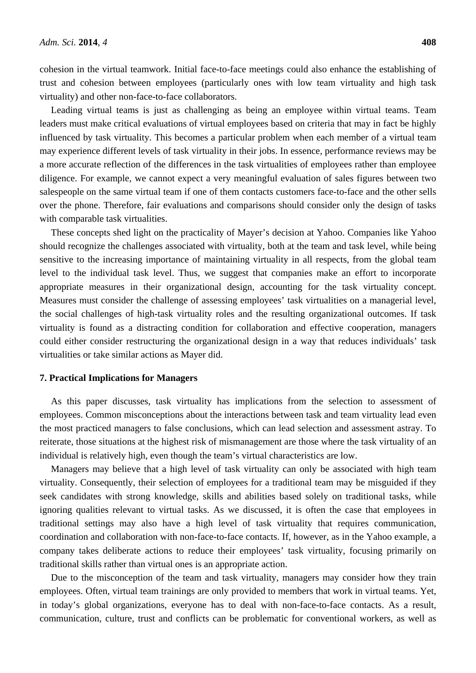cohesion in the virtual teamwork. Initial face-to-face meetings could also enhance the establishing of trust and cohesion between employees (particularly ones with low team virtuality and high task virtuality) and other non-face-to-face collaborators.

Leading virtual teams is just as challenging as being an employee within virtual teams. Team leaders must make critical evaluations of virtual employees based on criteria that may in fact be highly influenced by task virtuality. This becomes a particular problem when each member of a virtual team may experience different levels of task virtuality in their jobs. In essence, performance reviews may be a more accurate reflection of the differences in the task virtualities of employees rather than employee diligence. For example, we cannot expect a very meaningful evaluation of sales figures between two salespeople on the same virtual team if one of them contacts customers face-to-face and the other sells over the phone. Therefore, fair evaluations and comparisons should consider only the design of tasks with comparable task virtualities.

These concepts shed light on the practicality of Mayer's decision at Yahoo. Companies like Yahoo should recognize the challenges associated with virtuality, both at the team and task level, while being sensitive to the increasing importance of maintaining virtuality in all respects, from the global team level to the individual task level. Thus, we suggest that companies make an effort to incorporate appropriate measures in their organizational design, accounting for the task virtuality concept. Measures must consider the challenge of assessing employees' task virtualities on a managerial level, the social challenges of high-task virtuality roles and the resulting organizational outcomes. If task virtuality is found as a distracting condition for collaboration and effective cooperation, managers could either consider restructuring the organizational design in a way that reduces individuals' task virtualities or take similar actions as Mayer did.

## **7. Practical Implications for Managers**

As this paper discusses, task virtuality has implications from the selection to assessment of employees. Common misconceptions about the interactions between task and team virtuality lead even the most practiced managers to false conclusions, which can lead selection and assessment astray. To reiterate, those situations at the highest risk of mismanagement are those where the task virtuality of an individual is relatively high, even though the team's virtual characteristics are low.

Managers may believe that a high level of task virtuality can only be associated with high team virtuality. Consequently, their selection of employees for a traditional team may be misguided if they seek candidates with strong knowledge, skills and abilities based solely on traditional tasks, while ignoring qualities relevant to virtual tasks. As we discussed, it is often the case that employees in traditional settings may also have a high level of task virtuality that requires communication, coordination and collaboration with non-face-to-face contacts. If, however, as in the Yahoo example, a company takes deliberate actions to reduce their employees' task virtuality, focusing primarily on traditional skills rather than virtual ones is an appropriate action.

Due to the misconception of the team and task virtuality, managers may consider how they train employees. Often, virtual team trainings are only provided to members that work in virtual teams. Yet, in today's global organizations, everyone has to deal with non-face-to-face contacts. As a result, communication, culture, trust and conflicts can be problematic for conventional workers, as well as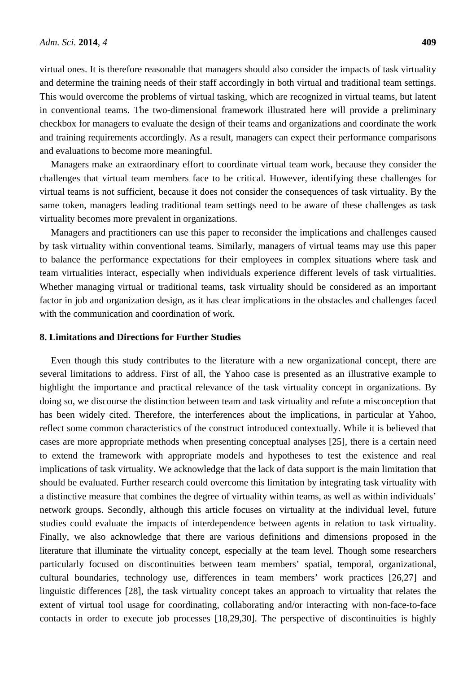virtual ones. It is therefore reasonable that managers should also consider the impacts of task virtuality and determine the training needs of their staff accordingly in both virtual and traditional team settings. This would overcome the problems of virtual tasking, which are recognized in virtual teams, but latent in conventional teams. The two-dimensional framework illustrated here will provide a preliminary checkbox for managers to evaluate the design of their teams and organizations and coordinate the work and training requirements accordingly. As a result, managers can expect their performance comparisons and evaluations to become more meaningful.

Managers make an extraordinary effort to coordinate virtual team work, because they consider the challenges that virtual team members face to be critical. However, identifying these challenges for virtual teams is not sufficient, because it does not consider the consequences of task virtuality. By the same token, managers leading traditional team settings need to be aware of these challenges as task virtuality becomes more prevalent in organizations.

Managers and practitioners can use this paper to reconsider the implications and challenges caused by task virtuality within conventional teams. Similarly, managers of virtual teams may use this paper to balance the performance expectations for their employees in complex situations where task and team virtualities interact, especially when individuals experience different levels of task virtualities. Whether managing virtual or traditional teams, task virtuality should be considered as an important factor in job and organization design, as it has clear implications in the obstacles and challenges faced with the communication and coordination of work.

## **8. Limitations and Directions for Further Studies**

Even though this study contributes to the literature with a new organizational concept, there are several limitations to address. First of all, the Yahoo case is presented as an illustrative example to highlight the importance and practical relevance of the task virtuality concept in organizations. By doing so, we discourse the distinction between team and task virtuality and refute a misconception that has been widely cited. Therefore, the interferences about the implications, in particular at Yahoo, reflect some common characteristics of the construct introduced contextually. While it is believed that cases are more appropriate methods when presenting conceptual analyses [25], there is a certain need to extend the framework with appropriate models and hypotheses to test the existence and real implications of task virtuality. We acknowledge that the lack of data support is the main limitation that should be evaluated. Further research could overcome this limitation by integrating task virtuality with a distinctive measure that combines the degree of virtuality within teams, as well as within individuals' network groups. Secondly, although this article focuses on virtuality at the individual level, future studies could evaluate the impacts of interdependence between agents in relation to task virtuality. Finally, we also acknowledge that there are various definitions and dimensions proposed in the literature that illuminate the virtuality concept, especially at the team level. Though some researchers particularly focused on discontinuities between team members' spatial, temporal, organizational, cultural boundaries, technology use, differences in team members' work practices [26,27] and linguistic differences [28], the task virtuality concept takes an approach to virtuality that relates the extent of virtual tool usage for coordinating, collaborating and/or interacting with non-face-to-face contacts in order to execute job processes [18,29,30]. The perspective of discontinuities is highly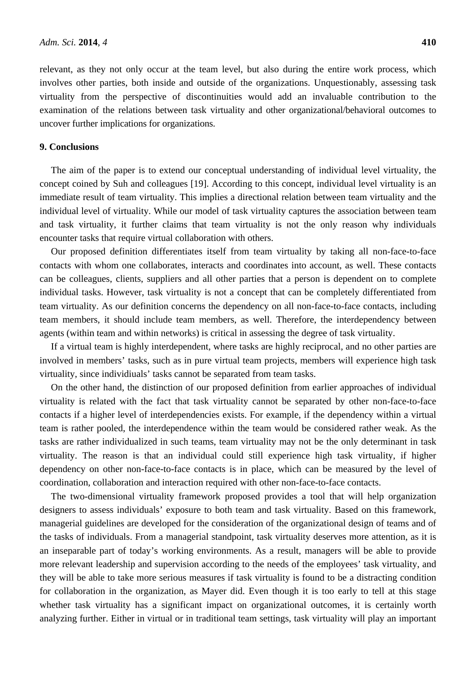relevant, as they not only occur at the team level, but also during the entire work process, which involves other parties, both inside and outside of the organizations. Unquestionably, assessing task virtuality from the perspective of discontinuities would add an invaluable contribution to the examination of the relations between task virtuality and other organizational/behavioral outcomes to uncover further implications for organizations.

## **9. Conclusions**

The aim of the paper is to extend our conceptual understanding of individual level virtuality, the concept coined by Suh and colleagues [19]. According to this concept, individual level virtuality is an immediate result of team virtuality. This implies a directional relation between team virtuality and the individual level of virtuality. While our model of task virtuality captures the association between team and task virtuality, it further claims that team virtuality is not the only reason why individuals encounter tasks that require virtual collaboration with others.

Our proposed definition differentiates itself from team virtuality by taking all non-face-to-face contacts with whom one collaborates, interacts and coordinates into account, as well. These contacts can be colleagues, clients, suppliers and all other parties that a person is dependent on to complete individual tasks. However, task virtuality is not a concept that can be completely differentiated from team virtuality. As our definition concerns the dependency on all non-face-to-face contacts, including team members, it should include team members, as well. Therefore, the interdependency between agents (within team and within networks) is critical in assessing the degree of task virtuality.

If a virtual team is highly interdependent, where tasks are highly reciprocal, and no other parties are involved in members' tasks, such as in pure virtual team projects, members will experience high task virtuality, since individiuals' tasks cannot be separated from team tasks.

On the other hand, the distinction of our proposed definition from earlier approaches of individual virtuality is related with the fact that task virtuality cannot be separated by other non-face-to-face contacts if a higher level of interdependencies exists. For example, if the dependency within a virtual team is rather pooled, the interdependence within the team would be considered rather weak. As the tasks are rather individualized in such teams, team virtuality may not be the only determinant in task virtuality. The reason is that an individual could still experience high task virtuality, if higher dependency on other non-face-to-face contacts is in place, which can be measured by the level of coordination, collaboration and interaction required with other non-face-to-face contacts.

The two-dimensional virtuality framework proposed provides a tool that will help organization designers to assess individuals' exposure to both team and task virtuality. Based on this framework, managerial guidelines are developed for the consideration of the organizational design of teams and of the tasks of individuals. From a managerial standpoint, task virtuality deserves more attention, as it is an inseparable part of today's working environments. As a result, managers will be able to provide more relevant leadership and supervision according to the needs of the employees' task virtuality, and they will be able to take more serious measures if task virtuality is found to be a distracting condition for collaboration in the organization, as Mayer did. Even though it is too early to tell at this stage whether task virtuality has a significant impact on organizational outcomes, it is certainly worth analyzing further. Either in virtual or in traditional team settings, task virtuality will play an important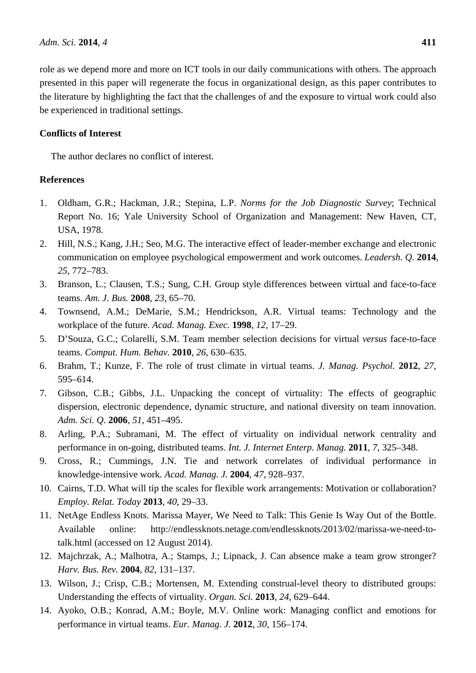role as we depend more and more on ICT tools in our daily communications with others. The approach presented in this paper will regenerate the focus in organizational design, as this paper contributes to the literature by highlighting the fact that the challenges of and the exposure to virtual work could also be experienced in traditional settings.

# **Conflicts of Interest**

The author declares no conflict of interest.

# **References**

- 1. Oldham, G.R.; Hackman, J.R.; Stepina, L.P. *Norms for the Job Diagnostic Survey*; Technical Report No. 16; Yale University School of Organization and Management: New Haven, CT, USA, 1978.
- 2. Hill, N.S.; Kang, J.H.; Seo, M.G. The interactive effect of leader-member exchange and electronic communication on employee psychological empowerment and work outcomes. *Leadersh. Q.* **2014**, *25*, 772–783.
- 3. Branson, L.; Clausen, T.S.; Sung, C.H. Group style differences between virtual and face-to-face teams. *Am. J. Bus.* **2008**, *23*, 65–70.
- 4. Townsend, A.M.; DeMarie, S.M.; Hendrickson, A.R. Virtual teams: Technology and the workplace of the future. *Acad. Manag. Exec.* **1998**, *12*, 17–29.
- 5. D'Souza, G.C.; Colarelli, S.M. Team member selection decisions for virtual *versus* face-to-face teams. *Comput. Hum. Behav.* **2010**, *26*, 630–635.
- 6. Brahm, T.; Kunze, F. The role of trust climate in virtual teams. *J. Manag. Psychol.* **2012**, *27*, 595–614.
- 7. Gibson, C.B.; Gibbs, J.L. Unpacking the concept of virtuality: The effects of geographic dispersion, electronic dependence, dynamic structure, and national diversity on team innovation. *Adm. Sci. Q.* **2006**, *51*, 451–495.
- 8. Arling, P.A.; Subramani, M. The effect of virtuality on individual network centrality and performance in on-going, distributed teams. *Int. J. Internet Enterp. Manag.* **2011**, *7*, 325–348.
- 9. Cross, R.; Cummings, J.N. Tie and network correlates of individual performance in knowledge-intensive work*. Acad. Manag. J.* **2004**, *47*, 928–937.
- 10. Cairns, T.D. What will tip the scales for flexible work arrangements: Motivation or collaboration? *Employ. Relat. Today* **2013**, *40*, 29–33.
- 11. NetAge Endless Knots. Marissa Mayer, We Need to Talk: This Genie Is Way Out of the Bottle. Available online: http://endlessknots.netage.com/endlessknots/2013/02/marissa-we-need-totalk.html (accessed on 12 August 2014).
- 12. Majchrzak, A.; Malhotra, A.; Stamps, J.; Lipnack, J. Can absence make a team grow stronger? *Harv. Bus. Rev.* **2004**, *82*, 131–137.
- 13. Wilson, J.; Crisp, C.B.; Mortensen, M. Extending construal-level theory to distributed groups: Understanding the effects of virtuality. *Organ. Sci.* **2013**, *24*, 629–644.
- 14. Ayoko, O.B.; Konrad, A.M.; Boyle, M.V. Online work: Managing conflict and emotions for performance in virtual teams. *Eur. Manag. J.* **2012**, *30*, 156–174.